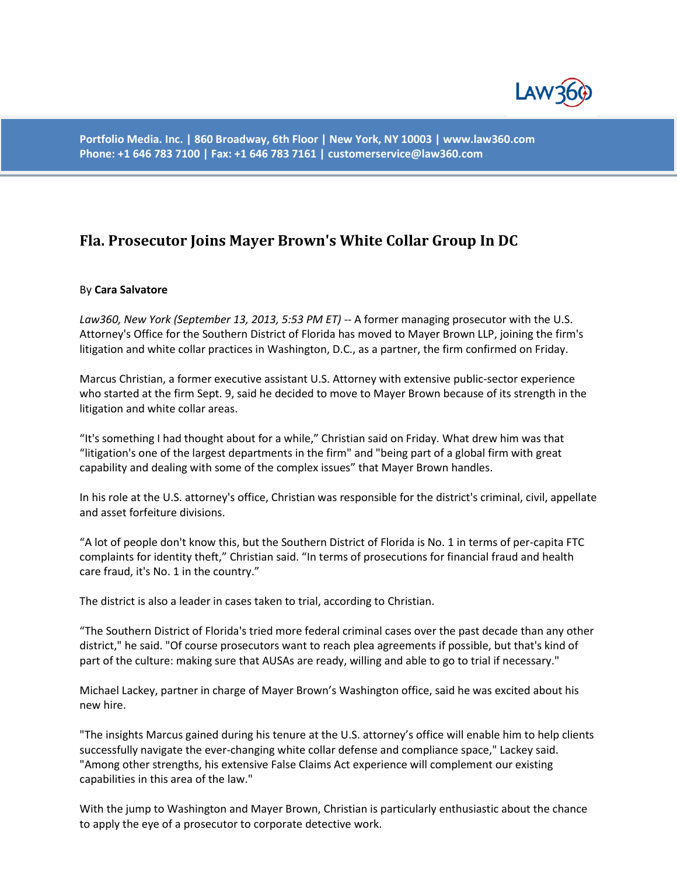

**Portfolio Media. Inc. | 860 Broadway, 6th Floor | New York, NY 10003 | www.law360.com Phone: +1 646 783 7100 | Fax: +1 646 783 7161 | customerservice@law360.com**

## **Fla. Prosecutor Joins Mayer Brown's White Collar Group In DC**

## By **Cara Salvatore**

*Law360, New York (September 13, 2013, 5:53 PM ET)* -- A former managing prosecutor with the U.S. Attorney's Office for the Southern District of Florida has moved to Mayer Brown LLP, joining the firm's litigation and white collar practices in Washington, D.C., as a partner, the firm confirmed on Friday.

Marcus Christian, a former executive assistant U.S. Attorney with extensive public-sector experience who started at the firm Sept. 9, said he decided to move to Mayer Brown because of its strength in the litigation and white collar areas.

"It's something I had thought about for a while," Christian said on Friday. What drew him was that "litigation's one of the largest departments in the firm" and "being part of a global firm with great capability and dealing with some of the complex issues" that Mayer Brown handles.

In his role at the U.S. attorney's office, Christian was responsible for the district's criminal, civil, appellate and asset forfeiture divisions.

"A lot of people don't know this, but the Southern District of Florida is No. 1 in terms of per-capita FTC complaints for identity theft," Christian said. "In terms of prosecutions for financial fraud and health care fraud, it's No. 1 in the country."

The district is also a leader in cases taken to trial, according to Christian.

"The Southern District of Florida's tried more federal criminal cases over the past decade than any other district," he said. "Of course prosecutors want to reach plea agreements if possible, but that's kind of part of the culture: making sure that AUSAs are ready, willing and able to go to trial if necessary."

Michael Lackey, partner in charge of Mayer Brown's Washington office, said he was excited about his new hire.

"The insights Marcus gained during his tenure at the U.S. attorney's office will enable him to help clients successfully navigate the ever-changing white collar defense and compliance space," Lackey said. "Among other strengths, his extensive False Claims Act experience will complement our existing capabilities in this area of the law."

With the jump to Washington and Mayer Brown, Christian is particularly enthusiastic about the chance to apply the eye of a prosecutor to corporate detective work.